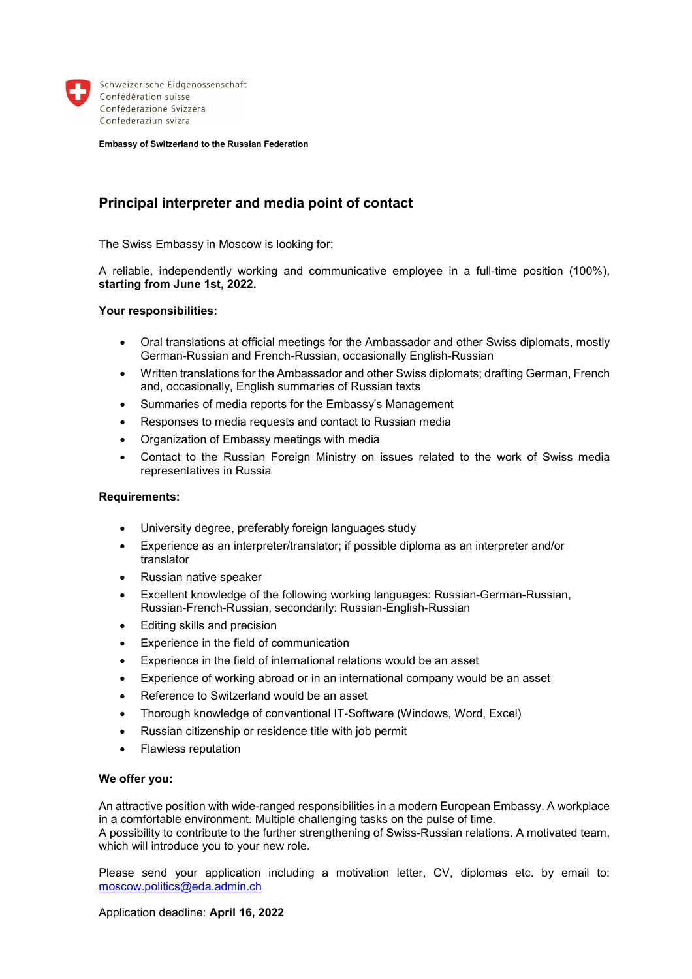

Schweizerische Eidgenossenschaft Confédération suisse Confederazione Svizzera Confederaziun svizra

**Embassy of Switzerland to the Russian Federation** 

# **Principal interpreter and media point of contact**

The Swiss Embassy in Moscow is looking for:

A reliable, independently working and communicative employee in a full-time position (100%), **starting from June 1st, 2022.** 

### **Your responsibilities:**

- Oral translations at official meetings for the Ambassador and other Swiss diplomats, mostly German-Russian and French-Russian, occasionally English-Russian
- Written translations for the Ambassador and other Swiss diplomats; drafting German, French and, occasionally, English summaries of Russian texts
- Summaries of media reports for the Embassy's Management
- Responses to media requests and contact to Russian media
- Organization of Embassy meetings with media
- Contact to the Russian Foreign Ministry on issues related to the work of Swiss media representatives in Russia

#### **Requirements:**

- University degree, preferably foreign languages study
- Experience as an interpreter/translator; if possible diploma as an interpreter and/or translator
- Russian native speaker
- Excellent knowledge of the following working languages: Russian-German-Russian, Russian-French-Russian, secondarily: Russian-English-Russian
- Editing skills and precision
- Experience in the field of communication
- Experience in the field of international relations would be an asset
- Experience of working abroad or in an international company would be an asset
- Reference to Switzerland would be an asset
- Thorough knowledge of conventional IT-Software (Windows, Word, Excel)
- Russian citizenship or residence title with job permit
- Flawless reputation

#### **We offer you:**

An attractive position with wide-ranged responsibilities in a modern European Embassy. A workplace in a comfortable environment. Multiple challenging tasks on the pulse of time.

A possibility to contribute to the further strengthening of Swiss-Russian relations. A motivated team, which will introduce you to your new role.

Please send your application including a motivation letter, CV, diplomas etc. by email to: moscow.politics@eda.admin.ch

Application deadline: **April 16, 2022**